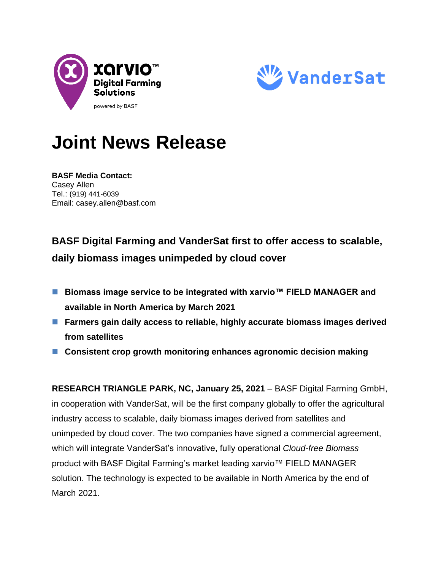



# **Joint News Release**

**BASF Media Contact:** Casey Allen Tel.: (919) 441-6039 Email: [casey.allen@basf.com](mailto:casey.allen@basf.com)

# **BASF Digital Farming and VanderSat first to offer access to scalable, daily biomass images unimpeded by cloud cover**

- Biomass image service to be integrated with xarvio<sup>™</sup> FIELD MANAGER and **available in North America by March 2021**
- Farmers gain daily access to reliable, highly accurate biomass images derived **from satellites**
- Consistent crop growth monitoring enhances agronomic decision making

**RESEARCH TRIANGLE PARK, NC, January 25, 2021** – BASF Digital Farming GmbH, in cooperation with VanderSat, will be the first company globally to offer the agricultural industry access to scalable, daily biomass images derived from satellites and unimpeded by cloud cover. The two companies have signed a commercial agreement, which will integrate VanderSat's innovative, fully operational *Cloud-free Biomass* product with BASF Digital Farming's market leading xarvio™ FIELD MANAGER solution. The technology is expected to be available in North America by the end of March 2021.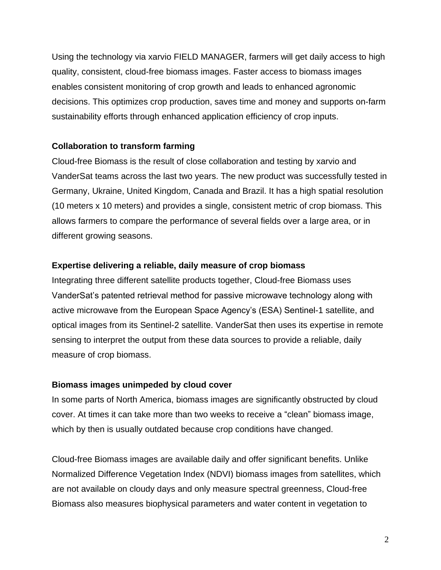Using the technology via xarvio FIELD MANAGER, farmers will get daily access to high quality, consistent, cloud-free biomass images. Faster access to biomass images enables consistent monitoring of crop growth and leads to enhanced agronomic decisions. This optimizes crop production, saves time and money and supports on-farm sustainability efforts through enhanced application efficiency of crop inputs.

## **Collaboration to transform farming**

Cloud-free Biomass is the result of close collaboration and testing by xarvio and VanderSat teams across the last two years. The new product was successfully tested in Germany, Ukraine, United Kingdom, Canada and Brazil. It has a high spatial resolution (10 meters x 10 meters) and provides a single, consistent metric of crop biomass. This allows farmers to compare the performance of several fields over a large area, or in different growing seasons.

### **Expertise delivering a reliable, daily measure of crop biomass**

Integrating three different satellite products together, Cloud-free Biomass uses VanderSat's patented retrieval method for passive microwave technology along with active microwave from the European Space Agency's (ESA) Sentinel-1 satellite, and optical images from its Sentinel-2 satellite. VanderSat then uses its expertise in remote sensing to interpret the output from these data sources to provide a reliable, daily measure of crop biomass.

#### **Biomass images unimpeded by cloud cover**

In some parts of North America, biomass images are significantly obstructed by cloud cover. At times it can take more than two weeks to receive a "clean" biomass image, which by then is usually outdated because crop conditions have changed.

Cloud-free Biomass images are available daily and offer significant benefits. Unlike Normalized Difference Vegetation Index (NDVI) biomass images from satellites, which are not available on cloudy days and only measure spectral greenness, Cloud-free Biomass also measures biophysical parameters and water content in vegetation to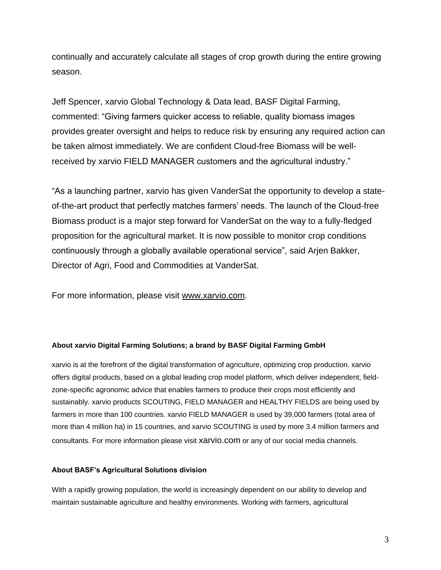continually and accurately calculate all stages of crop growth during the entire growing season.

Jeff Spencer, xarvio Global Technology & Data lead, BASF Digital Farming, commented: "Giving farmers quicker access to reliable, quality biomass images provides greater oversight and helps to reduce risk by ensuring any required action can be taken almost immediately. We are confident Cloud-free Biomass will be wellreceived by xarvio FIELD MANAGER customers and the agricultural industry."

"As a launching partner, xarvio has given VanderSat the opportunity to develop a stateof-the-art product that perfectly matches farmers' needs. The launch of the Cloud-free Biomass product is a major step forward for VanderSat on the way to a fully-fledged proposition for the agricultural market. It is now possible to monitor crop conditions continuously through a globally available operational service", said Arjen Bakker, Director of Agri, Food and Commodities at VanderSat.

For more information, please visit [www.xarvio.com.](http://www.xarvio.com/)

#### **About xarvio Digital Farming Solutions; a brand by BASF Digital Farming GmbH**

xarvio is at the forefront of the digital transformation of agriculture, optimizing crop production. xarvio offers digital products, based on a global leading crop model platform, which deliver independent, fieldzone-specific agronomic advice that enables farmers to produce their crops most efficiently and sustainably. xarvio products SCOUTING, FIELD MANAGER and HEALTHY FIELDS are being used by farmers in more than 100 countries. xarvio FIELD MANAGER is used by 39,000 farmers (total area of more than 4 million ha) in 15 countries, and xarvio SCOUTING is used by more 3.4 million farmers and consultants. For more information please visit [xarvio.com](file:///C:/Users/GoekeA/AppData/Local/Microsoft/Windows/INetCache/Content.Outlook/S0KPO33U/xarvio.com) or any of our social media channels.

#### **About BASF's Agricultural Solutions division**

With a rapidly growing population, the world is increasingly dependent on our ability to develop and maintain sustainable agriculture and healthy environments. Working with farmers, agricultural